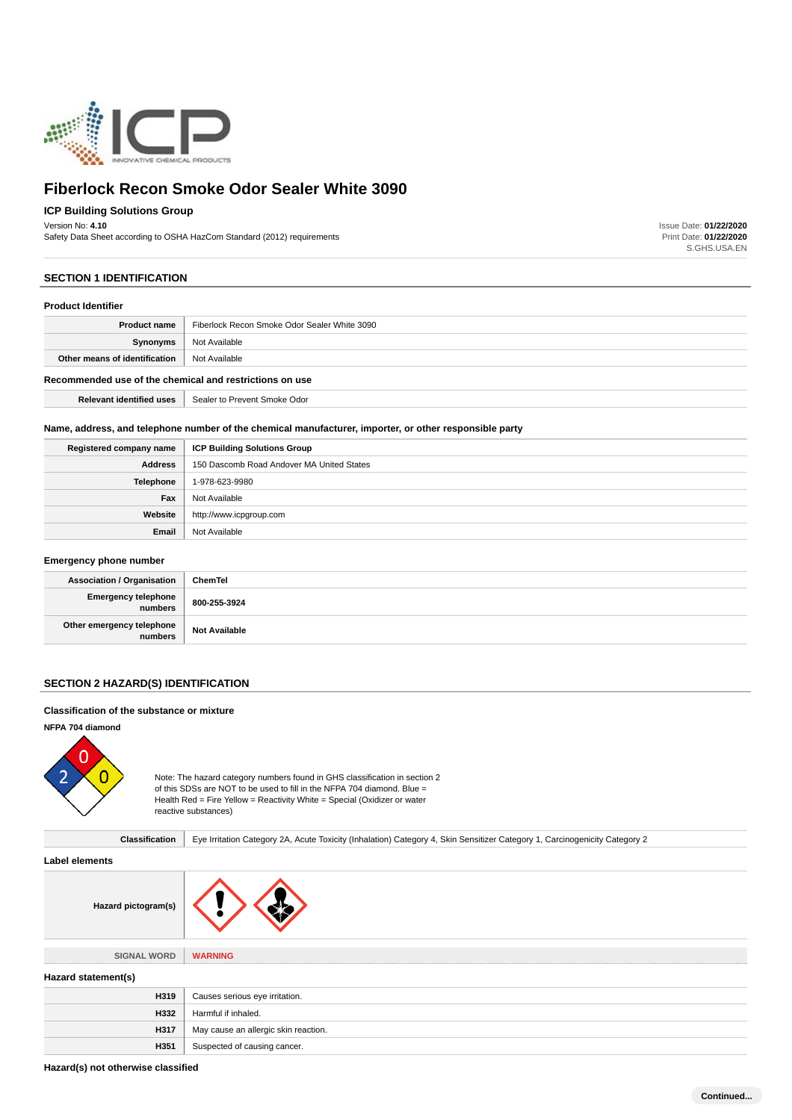

# **ICP Building Solutions Group**

Version No: **4.10**

Safety Data Sheet according to OSHA HazCom Standard (2012) requirements

Issue Date: **01/22/2020** Print Date: **01/22/2020** S.GHS.USA.EN

# **SECTION 1 IDENTIFICATION**

#### **Product Identifier**

| <b>Product name</b>                                     | Fiberlock Recon Smoke Odor Sealer White 3090 |
|---------------------------------------------------------|----------------------------------------------|
| Synonyms                                                | Not Available                                |
| Other means of identification                           | Not Available                                |
| Recommended use of the chemical and restrictions on use |                                              |
| <b>Relevant identified uses</b>                         | Sealer to Prevent Smoke Odor                 |

# **Name, address, and telephone number of the chemical manufacturer, importer, or other responsible party**

| Registered company name | <b>ICP Building Solutions Group</b>       |
|-------------------------|-------------------------------------------|
| <b>Address</b>          | 150 Dascomb Road Andover MA United States |
| Telephone               | 1-978-623-9980                            |
| Fax                     | Not Available                             |
| Website                 | http://www.icpgroup.com                   |
| Email                   | Not Available                             |

# **Emergency phone number**

| <b>Association / Organisation</b>      | ChemTel              |
|----------------------------------------|----------------------|
| Emergency telephone<br>  numbers       | 800-255-3924         |
| Other emergency telephone<br>  numbers | <b>Not Available</b> |

# **SECTION 2 HAZARD(S) IDENTIFICATION**

# **Classification of the substance or mixture**

# **NFPA 704 diamond**



Note: The hazard category numbers found in GHS classification in section 2 of this SDSs are NOT to be used to fill in the NFPA 704 diamond. Blue = Health Red = Fire Yellow = Reactivity White = Special (Oxidizer or water reactive substances)

Classification | Eye Irritation Category 2A, Acute Toxicity (Inhalation) Category 4, Skin Sensitizer Category 1, Carcinogenicity Category 2

# **Label elements**



| <b>SIGNAL WORD</b> |  |
|--------------------|--|
|                    |  |

**WARNING** 

# **Hazard statement(s)**

| H319 | Causes serious eye irritation.       |
|------|--------------------------------------|
| H332 | Harmful if inhaled.                  |
| H317 | May cause an allergic skin reaction. |
| H351 | Suspected of causing cancer.         |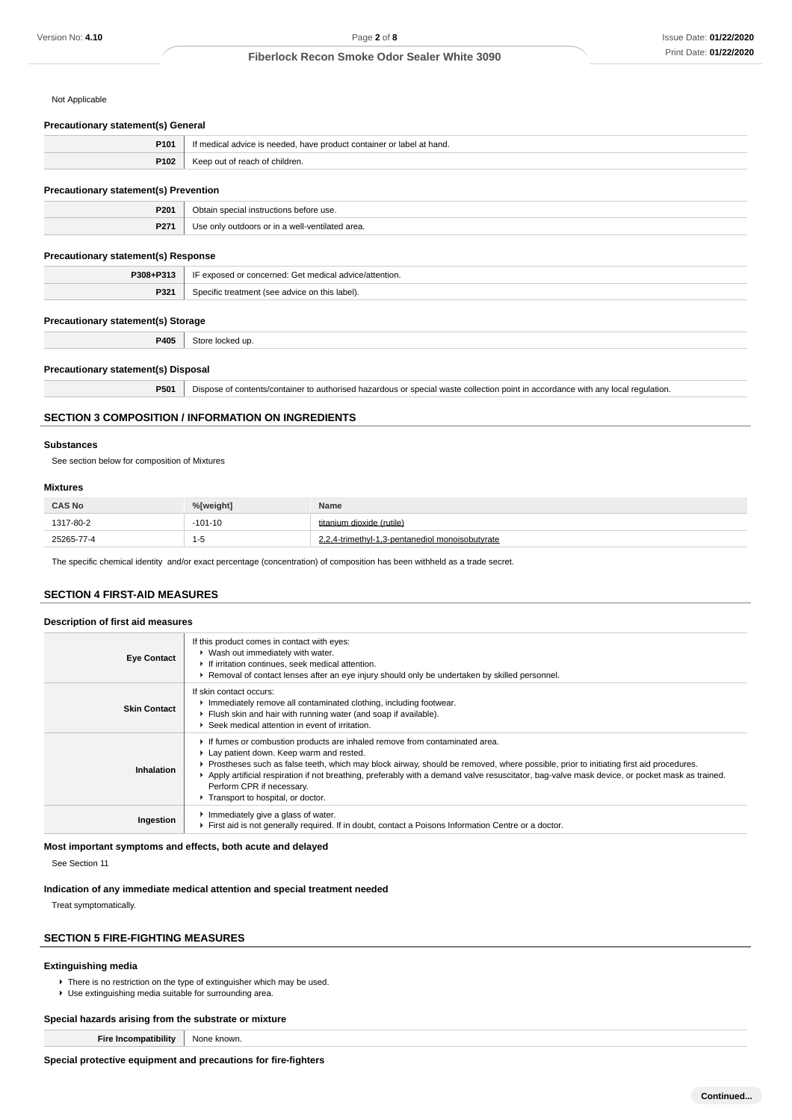Not Applicable

#### **Precautionary statement(s) General**

| P101 | If medical advice is needed, have product container or label at hand. |
|------|-----------------------------------------------------------------------|
| P102 | Keep out of reach of children.                                        |

#### **Precautionary statement(s) Prevention**

| P201 | ore use.<br><b>Inetructione</b><br><b>000000</b> |
|------|--------------------------------------------------|
| P27  | $\sim$<br>area<br><br>---                        |

# **Precautionary statement(s) Response**

| <b>P308.</b>    | ntion.<br>. <i>OMOO</i><br>: concerned<br>madical<br>. . |
|-----------------|----------------------------------------------------------|
| D <sub>23</sub> | aie Iahal'                                               |
| <b>L</b> 25     | - 1000011.                                               |

#### **Precautionary statement(s) Storage**

**P405** Store locked up.

# **Precautionary statement(s) Disposal**

**P501** Dispose of contents/container to authorised hazardous or special waste collection point in accordance with any local regulation.

# **SECTION 3 COMPOSITION / INFORMATION ON INGREDIENTS**

# **Substances**

See section below for composition of Mixtures

#### **Mixtures**

| <b>CAS No</b> | %[weight] | Name                                                                 |
|---------------|-----------|----------------------------------------------------------------------|
| 1317-80-2     | $-101-10$ | titanium dioxide (rutile)                                            |
| 25265-77-4    | 1-5       | $\sim$ 2.4-trimethyl-1.5- $\ldots$<br>.3-pentanediol monoisobutvrate |

The specific chemical identity and/or exact percentage (concentration) of composition has been withheld as a trade secret.

# **SECTION 4 FIRST-AID MEASURES**

#### **Description of first aid measures**

| <b>Eye Contact</b>  | If this product comes in contact with eyes:<br>▶ Wash out immediately with water.<br>If irritation continues, seek medical attention.<br>► Removal of contact lenses after an eye injury should only be undertaken by skilled personnel.                                                                                                                                                                                                                                             |  |
|---------------------|--------------------------------------------------------------------------------------------------------------------------------------------------------------------------------------------------------------------------------------------------------------------------------------------------------------------------------------------------------------------------------------------------------------------------------------------------------------------------------------|--|
| <b>Skin Contact</b> | If skin contact occurs:<br>Inmediately remove all contaminated clothing, including footwear.<br>Flush skin and hair with running water (and soap if available).<br>▶ Seek medical attention in event of irritation.                                                                                                                                                                                                                                                                  |  |
| Inhalation          | If fumes or combustion products are inhaled remove from contaminated area.<br>Lay patient down. Keep warm and rested.<br>▶ Prostheses such as false teeth, which may block airway, should be removed, where possible, prior to initiating first aid procedures.<br>► Apply artificial respiration if not breathing, preferably with a demand valve resuscitator, bag-valve mask device, or pocket mask as trained.<br>Perform CPR if necessary.<br>Transport to hospital, or doctor. |  |
| Ingestion           | Immediately give a glass of water.<br>First aid is not generally required. If in doubt, contact a Poisons Information Centre or a doctor.                                                                                                                                                                                                                                                                                                                                            |  |

# **Most important symptoms and effects, both acute and delayed**

See Section 11

#### **Indication of any immediate medical attention and special treatment needed**

Treat symptomatically.

# **SECTION 5 FIRE-FIGHTING MEASURES**

# **Extinguishing media**

▶ There is no restriction on the type of extinguisher which may be used. Use extinguishing media suitable for surrounding area.

# **Special hazards arising from the substrate or mixture**

**Fire Incompatibility** None known.

**Special protective equipment and precautions for fire-fighters**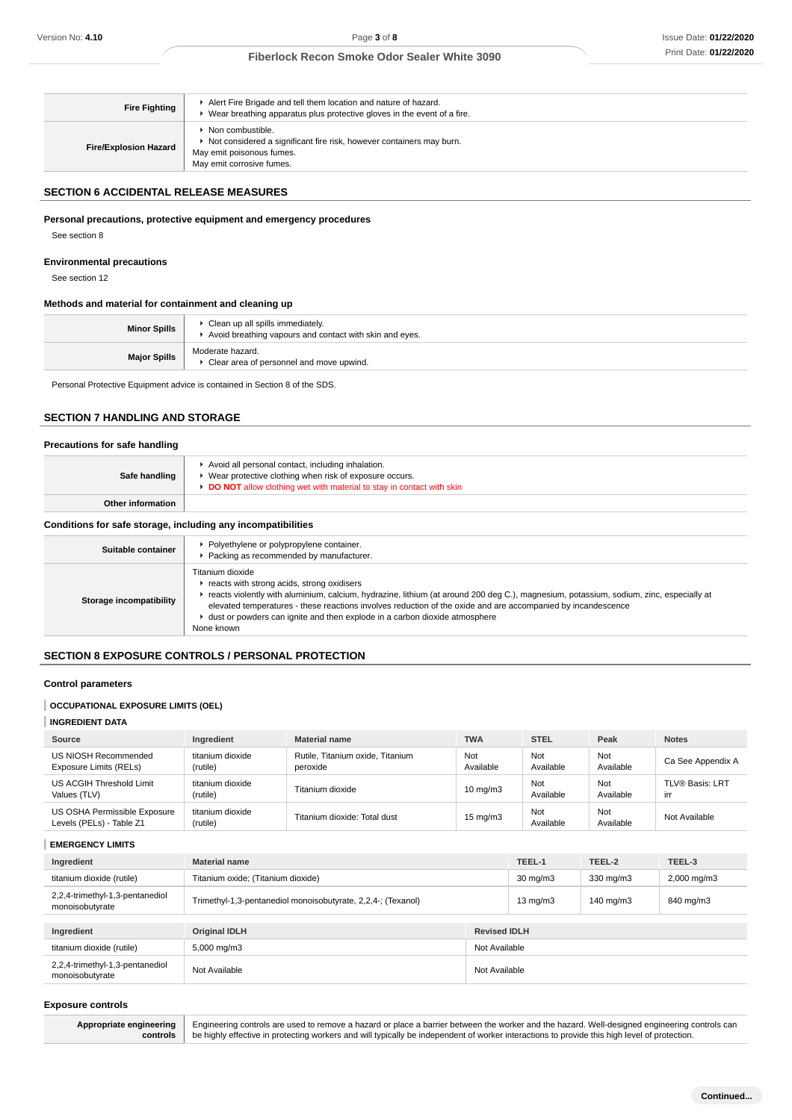| <b>Fire Fighting</b>         | Alert Fire Brigade and tell them location and nature of hazard.<br>Wear breathing apparatus plus protective gloves in the event of a fire.         |
|------------------------------|----------------------------------------------------------------------------------------------------------------------------------------------------|
| <b>Fire/Explosion Hazard</b> | Non combustible.<br>Not considered a significant fire risk, however containers may burn.<br>May emit poisonous fumes.<br>May emit corrosive fumes. |

# **SECTION 6 ACCIDENTAL RELEASE MEASURES**

# **Personal precautions, protective equipment and emergency procedures**

# **Environmental precautions**

# **Methods and material for containment and cleaning up**

| <b>Minor Spills</b> | Clean up all spills immediately.<br>Avoid breathing vapours and contact with skin and eyes. |
|---------------------|---------------------------------------------------------------------------------------------|
| <b>Major Spills</b> | Moderate hazard.<br>Clear area of personnel and move upwind.                                |

# **SECTION 7 HANDLING AND STORAGE**

# **Precautions for safe handling**

| Version No: 4.10                                                                     |                                                                                                                                                      | Page 3 of 8                                                                                                                                                                                                                                                                                                                                                                            |                     |                         |                  | <b>Issue Date: 01/22/202</b>                                                                                                                  |
|--------------------------------------------------------------------------------------|------------------------------------------------------------------------------------------------------------------------------------------------------|----------------------------------------------------------------------------------------------------------------------------------------------------------------------------------------------------------------------------------------------------------------------------------------------------------------------------------------------------------------------------------------|---------------------|-------------------------|------------------|-----------------------------------------------------------------------------------------------------------------------------------------------|
|                                                                                      |                                                                                                                                                      | <b>Fiberlock Recon Smoke Odor Sealer White 3090</b>                                                                                                                                                                                                                                                                                                                                    |                     |                         |                  | Print Date: 01/22/202                                                                                                                         |
|                                                                                      |                                                                                                                                                      |                                                                                                                                                                                                                                                                                                                                                                                        |                     |                         |                  |                                                                                                                                               |
| <b>Fire Fighting</b>                                                                 |                                                                                                                                                      | Alert Fire Brigade and tell them location and nature of hazard.<br>• Wear breathing apparatus plus protective gloves in the event of a fire.                                                                                                                                                                                                                                           |                     |                         |                  |                                                                                                                                               |
| <b>Fire/Explosion Hazard</b>                                                         | • Non combustible.<br>Not considered a significant fire risk, however containers may burn.<br>May emit poisonous fumes.<br>May emit corrosive fumes. |                                                                                                                                                                                                                                                                                                                                                                                        |                     |                         |                  |                                                                                                                                               |
|                                                                                      |                                                                                                                                                      |                                                                                                                                                                                                                                                                                                                                                                                        |                     |                         |                  |                                                                                                                                               |
| <b>SECTION 6 ACCIDENTAL RELEASE MEASURES</b>                                         |                                                                                                                                                      |                                                                                                                                                                                                                                                                                                                                                                                        |                     |                         |                  |                                                                                                                                               |
| Personal precautions, protective equipment and emergency procedures<br>See section 8 |                                                                                                                                                      |                                                                                                                                                                                                                                                                                                                                                                                        |                     |                         |                  |                                                                                                                                               |
| <b>Environmental precautions</b><br>See section 12                                   |                                                                                                                                                      |                                                                                                                                                                                                                                                                                                                                                                                        |                     |                         |                  |                                                                                                                                               |
| Methods and material for containment and cleaning up                                 |                                                                                                                                                      |                                                                                                                                                                                                                                                                                                                                                                                        |                     |                         |                  |                                                                                                                                               |
| <b>Minor Spills</b>                                                                  | Clean up all spills immediately.                                                                                                                     | Avoid breathing vapours and contact with skin and eyes.                                                                                                                                                                                                                                                                                                                                |                     |                         |                  |                                                                                                                                               |
| <b>Major Spills</b>                                                                  | Moderate hazard.                                                                                                                                     | Clear area of personnel and move upwind.                                                                                                                                                                                                                                                                                                                                               |                     |                         |                  |                                                                                                                                               |
| Personal Protective Equipment advice is contained in Section 8 of the SDS.           |                                                                                                                                                      |                                                                                                                                                                                                                                                                                                                                                                                        |                     |                         |                  |                                                                                                                                               |
|                                                                                      |                                                                                                                                                      |                                                                                                                                                                                                                                                                                                                                                                                        |                     |                         |                  |                                                                                                                                               |
| <b>SECTION 7 HANDLING AND STORAGE</b>                                                |                                                                                                                                                      |                                                                                                                                                                                                                                                                                                                                                                                        |                     |                         |                  |                                                                                                                                               |
| Precautions for safe handling                                                        |                                                                                                                                                      |                                                                                                                                                                                                                                                                                                                                                                                        |                     |                         |                  |                                                                                                                                               |
| Safe handling                                                                        |                                                                                                                                                      | Avoid all personal contact, including inhalation.<br>• Wear protective clothing when risk of exposure occurs.<br>DO NOT allow clothing wet with material to stay in contact with skin                                                                                                                                                                                                  |                     |                         |                  |                                                                                                                                               |
| <b>Other information</b>                                                             |                                                                                                                                                      |                                                                                                                                                                                                                                                                                                                                                                                        |                     |                         |                  |                                                                                                                                               |
| Conditions for safe storage, including any incompatibilities                         |                                                                                                                                                      |                                                                                                                                                                                                                                                                                                                                                                                        |                     |                         |                  |                                                                                                                                               |
| Suitable container                                                                   |                                                                                                                                                      | Polyethylene or polypropylene container.<br>Packing as recommended by manufacturer.                                                                                                                                                                                                                                                                                                    |                     |                         |                  |                                                                                                                                               |
| <b>Storage incompatibility</b>                                                       | Titanium dioxide<br>None known                                                                                                                       | reacts with strong acids, strong oxidisers<br>F reacts violently with aluminium, calcium, hydrazine, lithium (at around 200 deg C.), magnesium, potassium, sodium, zinc, especially at<br>elevated temperatures - these reactions involves reduction of the oxide and are accompanied by incandescence<br>• dust or powders can ignite and then explode in a carbon dioxide atmosphere |                     |                         |                  |                                                                                                                                               |
| <b>SECTION 8 EXPOSURE CONTROLS / PERSONAL PROTECTION</b>                             |                                                                                                                                                      |                                                                                                                                                                                                                                                                                                                                                                                        |                     |                         |                  |                                                                                                                                               |
| <b>Control parameters</b>                                                            |                                                                                                                                                      |                                                                                                                                                                                                                                                                                                                                                                                        |                     |                         |                  |                                                                                                                                               |
| <b>OCCUPATIONAL EXPOSURE LIMITS (OEL)</b>                                            |                                                                                                                                                      |                                                                                                                                                                                                                                                                                                                                                                                        |                     |                         |                  |                                                                                                                                               |
| <b>INGREDIENT DATA</b>                                                               |                                                                                                                                                      |                                                                                                                                                                                                                                                                                                                                                                                        |                     |                         |                  |                                                                                                                                               |
| Source                                                                               | Ingredient                                                                                                                                           | <b>Material name</b>                                                                                                                                                                                                                                                                                                                                                                   | <b>TWA</b>          | <b>STEL</b>             | Peak             | <b>Notes</b>                                                                                                                                  |
| US NIOSH Recommended<br><b>Exposure Limits (RELs)</b>                                | titanium dioxide<br>(rutile)                                                                                                                         | Rutile, Titanium oxide, Titanium<br>peroxide                                                                                                                                                                                                                                                                                                                                           | Not<br>Available    | <b>Not</b><br>Available | Not<br>Available | Ca See Appendix A                                                                                                                             |
| US ACGIH Threshold Limit<br>Values (TLV)                                             | titanium dioxide<br>(rutile)                                                                                                                         | Titanium dioxide                                                                                                                                                                                                                                                                                                                                                                       | $10$ mg/m $3$       | Not<br>Available        | Not<br>Available | <b>TLV® Basis: LRT</b><br>irr                                                                                                                 |
| US OSHA Permissible Exposure<br>Levels (PELs) - Table Z1                             | titanium dioxide<br>(rutile)                                                                                                                         | Titanium dioxide: Total dust                                                                                                                                                                                                                                                                                                                                                           | $15 \text{ mg/m}$   | Not<br>Available        | Not<br>Available | Not Available                                                                                                                                 |
| <b>EMERGENCY LIMITS</b>                                                              |                                                                                                                                                      |                                                                                                                                                                                                                                                                                                                                                                                        |                     |                         |                  |                                                                                                                                               |
| Ingredient                                                                           | <b>Material name</b>                                                                                                                                 |                                                                                                                                                                                                                                                                                                                                                                                        |                     | TEEL-1                  | TEEL-2           | TEEL-3                                                                                                                                        |
| titanium dioxide (rutile)                                                            | Titanium oxide; (Titanium dioxide)                                                                                                                   |                                                                                                                                                                                                                                                                                                                                                                                        |                     | $30 \text{ mg/m}$       | 330 mg/m3        | 2,000 mg/m3                                                                                                                                   |
| 2,2,4-trimethyl-1,3-pentanediol<br>monoisobutyrate                                   |                                                                                                                                                      | Trimethyl-1,3-pentanediol monoisobutyrate, 2,2,4-; (Texanol)                                                                                                                                                                                                                                                                                                                           |                     | $13$ mg/m $3$           | 140 mg/m3        | 840 mg/m3                                                                                                                                     |
| Ingredient                                                                           | <b>Original IDLH</b>                                                                                                                                 |                                                                                                                                                                                                                                                                                                                                                                                        | <b>Revised IDLH</b> |                         |                  |                                                                                                                                               |
| titanium dioxide (rutile)                                                            | 5,000 mg/m3                                                                                                                                          |                                                                                                                                                                                                                                                                                                                                                                                        | Not Available       |                         |                  |                                                                                                                                               |
| 2,2,4-trimethyl-1,3-pentanediol<br>monoisobutyrate                                   | Not Available                                                                                                                                        |                                                                                                                                                                                                                                                                                                                                                                                        | Not Available       |                         |                  |                                                                                                                                               |
| <b>Exposure controls</b>                                                             |                                                                                                                                                      |                                                                                                                                                                                                                                                                                                                                                                                        |                     |                         |                  |                                                                                                                                               |
|                                                                                      |                                                                                                                                                      |                                                                                                                                                                                                                                                                                                                                                                                        |                     |                         |                  | Engineering controls are used to remove a hazard or place a barrier between the worker and the hazard. Well-designed engineering controls can |

# None known **SECTION 8 EXPOSURE CONTROLS / PERSONAL PROTECTION**

#### **Control parameters**

# **OCCUPATIONAL EXPOSURE LIMITS (OEL)**

# **INGREDIENT DATA**

| Source                                                   | Ingredient                   | <b>Material name</b>                         | <b>TWA</b>        | <b>STEL</b>      | Peak             | <b>Notes</b>                  |
|----------------------------------------------------------|------------------------------|----------------------------------------------|-------------------|------------------|------------------|-------------------------------|
| US NIOSH Recommended<br>Exposure Limits (RELs)           | titanium dioxide<br>(rutile) | Rutile. Titanium oxide. Titanium<br>peroxide | Not<br>Available  | Not<br>Available | Not<br>Available | Ca See Appendix A             |
| US ACGIH Threshold Limit<br>Values (TLV)                 | titanium dioxide<br>(rutile) | Titanium dioxide                             | $10 \text{ mg/m}$ | Not<br>Available | Not<br>Available | <b>TLV® Basis: LRT</b><br>irr |
| US OSHA Permissible Exposure<br>Levels (PELs) - Table Z1 | titanium dioxide<br>(rutile) | Titanium dioxide: Total dust                 | $15 \text{ mg/m}$ | Not<br>Available | Not<br>Available | Not Available                 |

| Ingredient                                         | <b>Material name</b>                                         |               | TEEL-1              | TEEL-2    | TEEL-3      |
|----------------------------------------------------|--------------------------------------------------------------|---------------|---------------------|-----------|-------------|
| titanium dioxide (rutile)                          | Titanium oxide; (Titanium dioxide)                           |               | $30 \text{ mg/m}$   | 330 mg/m3 | 2,000 mg/m3 |
| 2,2,4-trimethyl-1,3-pentanediol<br>monoisobutyrate | Trimethyl-1,3-pentanediol monoisobutyrate, 2,2,4-; (Texanol) |               | $13 \text{ mg/m}$   | 140 mg/m3 | 840 mg/m3   |
| Ingredient                                         | <b>Original IDLH</b>                                         |               | <b>Revised IDLH</b> |           |             |
| titanium dioxide (rutile)                          | $5,000 \,\mathrm{mg/m}$                                      |               | Not Available       |           |             |
| 2,2,4-trimethyl-1,3-pentanediol<br>monoisobutyrate | Not Available                                                | Not Available |                     |           |             |

#### **Exposure controls**

| Appropriate engineering   Engineering controls are used to remove a hazard or place a barrier between the worker and the hazard. Well-designed engineering controls can |
|-------------------------------------------------------------------------------------------------------------------------------------------------------------------------|
| controls   be highly effective in protecting workers and will typically be independent of worker interactions to provide this high level of protection.                 |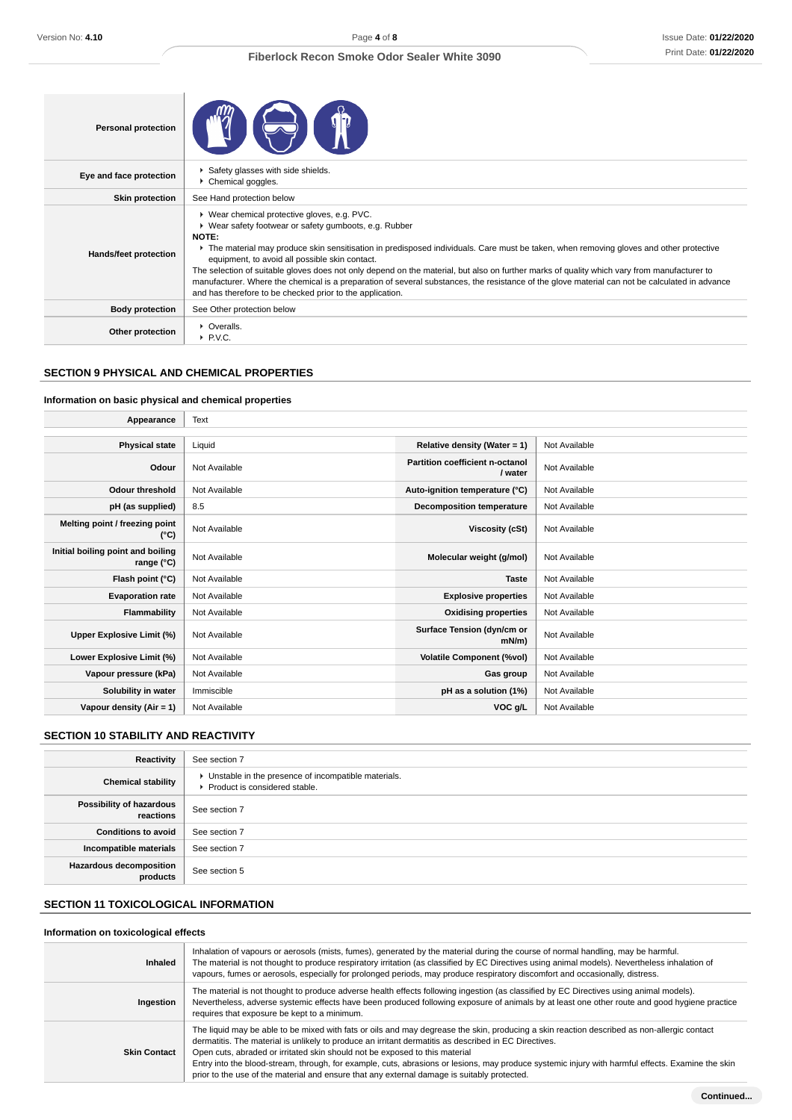| <b>Personal protection</b> |                                                                                                                                                                                                                                                                                                                                                                                                                                                                                                                                                                                                                                                                                 |
|----------------------------|---------------------------------------------------------------------------------------------------------------------------------------------------------------------------------------------------------------------------------------------------------------------------------------------------------------------------------------------------------------------------------------------------------------------------------------------------------------------------------------------------------------------------------------------------------------------------------------------------------------------------------------------------------------------------------|
| Eye and face protection    | Safety glasses with side shields.<br>Chemical goggles.                                                                                                                                                                                                                                                                                                                                                                                                                                                                                                                                                                                                                          |
| <b>Skin protection</b>     | See Hand protection below                                                                                                                                                                                                                                                                                                                                                                                                                                                                                                                                                                                                                                                       |
| Hands/feet protection      | ▶ Wear chemical protective gloves, e.g. PVC.<br>▶ Wear safety footwear or safety gumboots, e.g. Rubber<br><b>NOTE:</b><br>The material may produce skin sensitisation in predisposed individuals. Care must be taken, when removing gloves and other protective<br>equipment, to avoid all possible skin contact.<br>The selection of suitable gloves does not only depend on the material, but also on further marks of quality which vary from manufacturer to<br>manufacturer. Where the chemical is a preparation of several substances, the resistance of the glove material can not be calculated in advance<br>and has therefore to be checked prior to the application. |
| <b>Body protection</b>     | See Other protection below                                                                                                                                                                                                                                                                                                                                                                                                                                                                                                                                                                                                                                                      |
| Other protection           | • Overalls.<br>$\blacktriangleright$ P.V.C.                                                                                                                                                                                                                                                                                                                                                                                                                                                                                                                                                                                                                                     |

# **SECTION 9 PHYSICAL AND CHEMICAL PROPERTIES**

# **Information on basic physical and chemical properties**

| Appearance                                      | Text          |                                            |               |
|-------------------------------------------------|---------------|--------------------------------------------|---------------|
|                                                 |               |                                            |               |
| <b>Physical state</b>                           | Liquid        | Relative density (Water = 1)               | Not Available |
| Odour                                           | Not Available | Partition coefficient n-octanol<br>/ water | Not Available |
| <b>Odour threshold</b>                          | Not Available | Auto-ignition temperature (°C)             | Not Available |
| pH (as supplied)                                | 8.5           | <b>Decomposition temperature</b>           | Not Available |
| Melting point / freezing point<br>(°C)          | Not Available | Viscosity (cSt)                            | Not Available |
| Initial boiling point and boiling<br>range (°C) | Not Available | Molecular weight (g/mol)                   | Not Available |
| Flash point (°C)                                | Not Available | <b>Taste</b>                               | Not Available |
| <b>Evaporation rate</b>                         | Not Available | <b>Explosive properties</b>                | Not Available |
| <b>Flammability</b>                             | Not Available | <b>Oxidising properties</b>                | Not Available |
| Upper Explosive Limit (%)                       | Not Available | Surface Tension (dyn/cm or<br>$mN/m$ )     | Not Available |
| Lower Explosive Limit (%)                       | Not Available | <b>Volatile Component (%vol)</b>           | Not Available |
| Vapour pressure (kPa)                           | Not Available | Gas group                                  | Not Available |
| Solubility in water                             | Immiscible    | pH as a solution (1%)                      | Not Available |
| Vapour density $(Air = 1)$                      | Not Available | VOC g/L                                    | Not Available |

# **SECTION 10 STABILITY AND REACTIVITY**

| Reactivity                                 | See section 7                                                                          |
|--------------------------------------------|----------------------------------------------------------------------------------------|
| <b>Chemical stability</b>                  | • Unstable in the presence of incompatible materials.<br>Product is considered stable. |
| Possibility of hazardous<br>reactions      | See section 7                                                                          |
| <b>Conditions to avoid</b>                 | See section 7                                                                          |
| Incompatible materials                     | See section 7                                                                          |
| <b>Hazardous decomposition</b><br>products | See section 5                                                                          |

# **SECTION 11 TOXICOLOGICAL INFORMATION**

# **Information on toxicological effects**

| <b>Inhaled</b>      | Inhalation of vapours or aerosols (mists, fumes), generated by the material during the course of normal handling, may be harmful.<br>The material is not thought to produce respiratory irritation (as classified by EC Directives using animal models). Nevertheless inhalation of<br>vapours, fumes or aerosols, especially for prolonged periods, may produce respiratory discomfort and occasionally, distress.                                                                                                                                                                     |
|---------------------|-----------------------------------------------------------------------------------------------------------------------------------------------------------------------------------------------------------------------------------------------------------------------------------------------------------------------------------------------------------------------------------------------------------------------------------------------------------------------------------------------------------------------------------------------------------------------------------------|
| Ingestion           | The material is not thought to produce adverse health effects following ingestion (as classified by EC Directives using animal models).<br>Nevertheless, adverse systemic effects have been produced following exposure of animals by at least one other route and good hygiene practice<br>requires that exposure be kept to a minimum.                                                                                                                                                                                                                                                |
| <b>Skin Contact</b> | The liquid may be able to be mixed with fats or oils and may degrease the skin, producing a skin reaction described as non-allergic contact<br>dermatitis. The material is unlikely to produce an irritant dermatitis as described in EC Directives.<br>Open cuts, abraded or irritated skin should not be exposed to this material<br>Entry into the blood-stream, through, for example, cuts, abrasions or lesions, may produce systemic injury with harmful effects. Examine the skin<br>prior to the use of the material and ensure that any external damage is suitably protected. |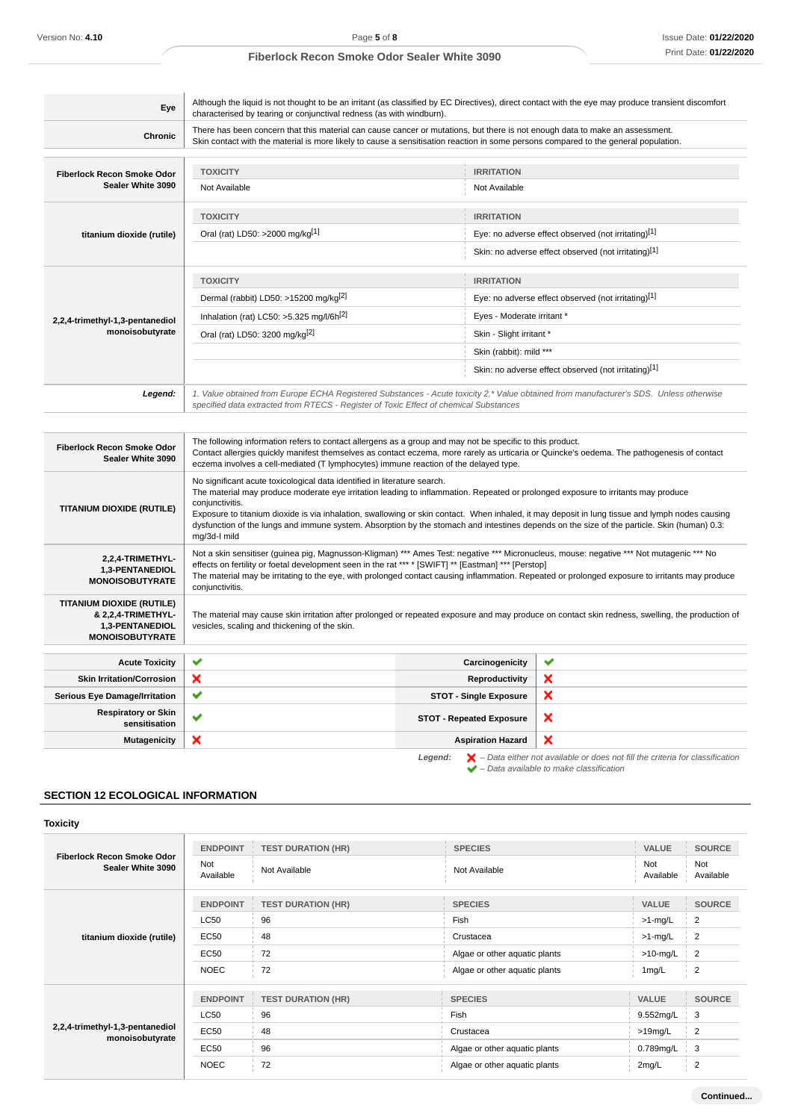| Eye                                                                                          | characterised by tearing or conjunctival redness (as with windburn).                                                                                                                                                                                                                                                                                                                                                                                                                                                                               |                                 |                                                      |
|----------------------------------------------------------------------------------------------|----------------------------------------------------------------------------------------------------------------------------------------------------------------------------------------------------------------------------------------------------------------------------------------------------------------------------------------------------------------------------------------------------------------------------------------------------------------------------------------------------------------------------------------------------|---------------------------------|------------------------------------------------------|
| <b>Chronic</b>                                                                               | There has been concern that this material can cause cancer or mutations, but there is not enough data to make an assessment.<br>Skin contact with the material is more likely to cause a sensitisation reaction in some persons compared to the general population.                                                                                                                                                                                                                                                                                |                                 |                                                      |
| Fiberlock Recon Smoke Odor                                                                   | <b>TOXICITY</b>                                                                                                                                                                                                                                                                                                                                                                                                                                                                                                                                    | <b>IRRITATION</b>               |                                                      |
| Sealer White 3090                                                                            | Not Available                                                                                                                                                                                                                                                                                                                                                                                                                                                                                                                                      | Not Available                   |                                                      |
|                                                                                              | <b>TOXICITY</b>                                                                                                                                                                                                                                                                                                                                                                                                                                                                                                                                    | <b>IRRITATION</b>               |                                                      |
| titanium dioxide (rutile)                                                                    | Oral (rat) LD50: >2000 mg/kg[1]                                                                                                                                                                                                                                                                                                                                                                                                                                                                                                                    |                                 | Eye: no adverse effect observed (not irritating)[1]  |
|                                                                                              |                                                                                                                                                                                                                                                                                                                                                                                                                                                                                                                                                    |                                 | Skin: no adverse effect observed (not irritating)[1] |
|                                                                                              | <b>TOXICITY</b>                                                                                                                                                                                                                                                                                                                                                                                                                                                                                                                                    | <b>IRRITATION</b>               |                                                      |
|                                                                                              | Dermal (rabbit) LD50: >15200 mg/kg <sup>[2]</sup>                                                                                                                                                                                                                                                                                                                                                                                                                                                                                                  |                                 | Eye: no adverse effect observed (not irritating)[1]  |
| 2,2,4-trimethyl-1,3-pentanediol                                                              | Inhalation (rat) LC50: $>5.325$ mg/l/6h <sup>[2]</sup>                                                                                                                                                                                                                                                                                                                                                                                                                                                                                             | Eyes - Moderate irritant *      |                                                      |
| monoisobutyrate                                                                              | Oral (rat) LD50: 3200 mg/kg <sup>[2]</sup>                                                                                                                                                                                                                                                                                                                                                                                                                                                                                                         | Skin - Slight irritant *        |                                                      |
|                                                                                              |                                                                                                                                                                                                                                                                                                                                                                                                                                                                                                                                                    | Skin (rabbit): mild ***         |                                                      |
|                                                                                              |                                                                                                                                                                                                                                                                                                                                                                                                                                                                                                                                                    |                                 | Skin: no adverse effect observed (not irritating)[1] |
|                                                                                              |                                                                                                                                                                                                                                                                                                                                                                                                                                                                                                                                                    |                                 |                                                      |
| Legend:                                                                                      | 1. Value obtained from Europe ECHA Registered Substances - Acute toxicity 2.* Value obtained from manufacturer's SDS. Unless otherwise<br>specified data extracted from RTECS - Register of Toxic Effect of chemical Substances                                                                                                                                                                                                                                                                                                                    |                                 |                                                      |
| Sealer White 3090                                                                            | The following information refers to contact allergens as a group and may not be specific to this product.<br>Contact allergies quickly manifest themselves as contact eczema, more rarely as urticaria or Quincke's oedema. The pathogenesis of contact<br>eczema involves a cell-mediated (T lymphocytes) immune reaction of the delayed type.                                                                                                                                                                                                    |                                 |                                                      |
| Fiberlock Recon Smoke Odor<br><b>TITANIUM DIOXIDE (RUTILE)</b>                               | No significant acute toxicological data identified in literature search.<br>The material may produce moderate eye irritation leading to inflammation. Repeated or prolonged exposure to irritants may produce<br>conjunctivitis.<br>Exposure to titanium dioxide is via inhalation, swallowing or skin contact. When inhaled, it may deposit in lung tissue and lymph nodes causing<br>dysfunction of the lungs and immune system. Absorption by the stomach and intestines depends on the size of the particle. Skin (human) 0.3:<br>mg/3d-I mild |                                 |                                                      |
| 2,2,4-TRIMETHYL-<br>1,3-PENTANEDIOL<br><b>MONOISOBUTYRATE</b>                                | Not a skin sensitiser (guinea pig, Magnusson-Kligman) *** Ames Test: negative *** Micronucleus, mouse: negative *** Not mutagenic *** No<br>effects on fertility or foetal development seen in the rat *** * [SWIFT] ** [Eastman] *** [Perstop]<br>The material may be irritating to the eye, with prolonged contact causing inflammation. Repeated or prolonged exposure to irritants may produce<br>conjunctivitis.                                                                                                                              |                                 |                                                      |
| TITANIUM DIOXIDE (RUTILE)<br>& 2,2,4-TRIMETHYL-<br>1,3-PENTANEDIOL<br><b>MONOISOBUTYRATE</b> | The material may cause skin irritation after prolonged or repeated exposure and may produce on contact skin redness, swelling, the production of<br>vesicles, scaling and thickening of the skin.                                                                                                                                                                                                                                                                                                                                                  |                                 |                                                      |
| <b>Acute Toxicity</b>                                                                        | ✔                                                                                                                                                                                                                                                                                                                                                                                                                                                                                                                                                  | Carcinogenicity                 | ✔                                                    |
| <b>Skin Irritation/Corrosion</b>                                                             | ×                                                                                                                                                                                                                                                                                                                                                                                                                                                                                                                                                  | <b>Reproductivity</b>           | ×                                                    |
|                                                                                              | ✔                                                                                                                                                                                                                                                                                                                                                                                                                                                                                                                                                  | <b>STOT - Single Exposure</b>   | ×                                                    |
| <b>Serious Eye Damage/Irritation</b><br><b>Respiratory or Skin</b><br>sensitisation          | ✔                                                                                                                                                                                                                                                                                                                                                                                                                                                                                                                                                  | <b>STOT - Repeated Exposure</b> | ×                                                    |

**SECTION 12 ECOLOGICAL INFORMATION**

# **Toxicity**

| <b>Fiberlock Recon Smoke Odor</b><br>Sealer White 3090 | <b>ENDPOINT</b><br><b>Not</b><br>Available                                  | <b>TEST DURATION (HR)</b><br>Not Available        | <b>SPECIES</b><br>Not Available                                                                       | <b>VALUE</b><br>Not<br>Available                                 | <b>SOURCE</b><br>Not<br>Available                                                     |
|--------------------------------------------------------|-----------------------------------------------------------------------------|---------------------------------------------------|-------------------------------------------------------------------------------------------------------|------------------------------------------------------------------|---------------------------------------------------------------------------------------|
| titanium dioxide (rutile)                              | <b>ENDPOINT</b><br><b>LC50</b><br>EC50<br>EC50<br><b>NOEC</b>               | <b>TEST DURATION (HR)</b><br>96<br>48<br>72<br>72 | <b>SPECIES</b><br>Fish<br>Crustacea<br>Algae or other aquatic plants<br>Algae or other aquatic plants | <b>VALUE</b><br>$>1$ -mg/L<br>$>1$ -mg/L<br>$>10$ -mg/L<br>1mg/L | <b>SOURCE</b><br>$\overline{2}$<br>$\overline{2}$<br>$\overline{2}$<br>$\overline{2}$ |
| 2,2,4-trimethyl-1,3-pentanediol<br>monoisobutyrate     | <b>ENDPOINT</b><br><b>LC50</b><br><b>EC50</b><br><b>EC50</b><br><b>NOEC</b> | <b>TEST DURATION (HR)</b><br>96<br>48<br>96<br>72 | <b>SPECIES</b><br>Fish<br>Crustacea<br>Algae or other aquatic plants<br>Algae or other aquatic plants | <b>VALUE</b><br>9.552mg/L<br>$>19$ mg/L<br>0.789mg/L<br>2mg/L    | <b>SOURCE</b><br>3<br>$\overline{2}$<br>3<br>$\overline{2}$                           |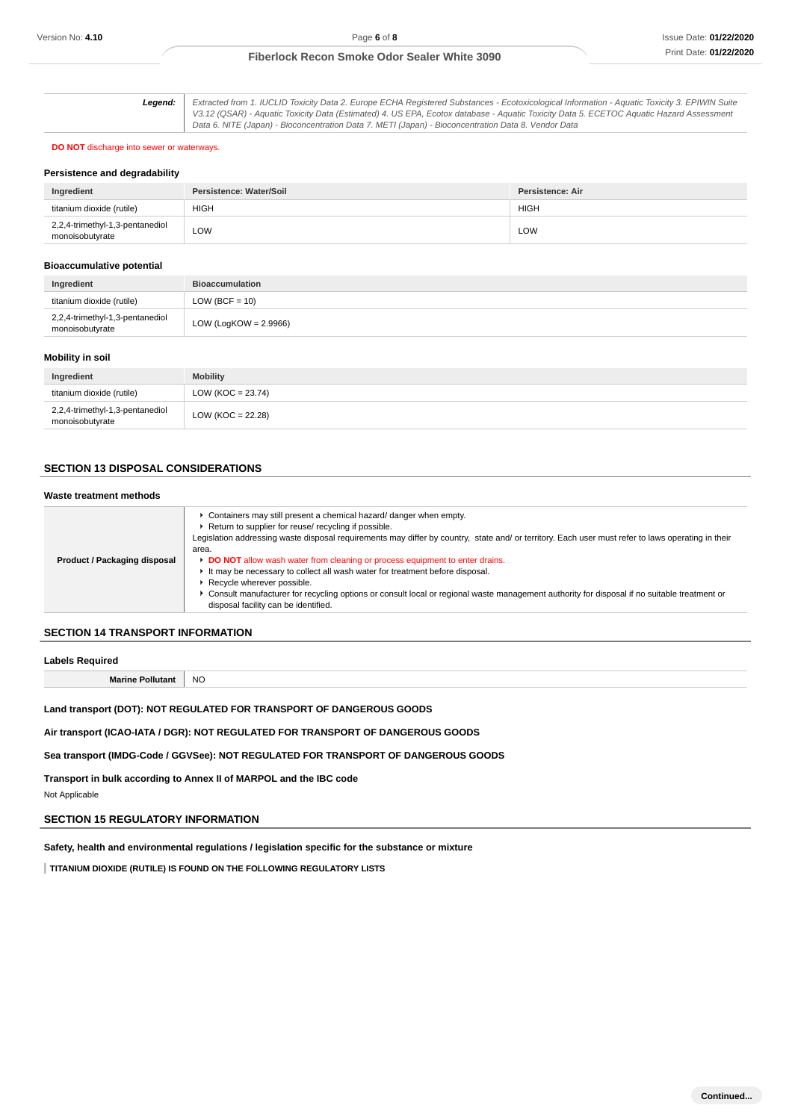| Leaend: I | Extracted from 1. IUCLID Toxicity Data 2. Europe ECHA Registered Substances - Ecotoxicological Information - Aquatic Toxicity 3. EPIWIN Suite |
|-----------|-----------------------------------------------------------------------------------------------------------------------------------------------|
|           | V3.12 (QSAR) - Aquatic Toxicity Data (Estimated) 4. US EPA, Ecotox database - Aquatic Toxicity Data 5. ECETOC Aquatic Hazard Assessment       |
|           | Data 6. NITE (Japan) - Bioconcentration Data 7. METI (Japan) - Bioconcentration Data 8. Vendor Data                                           |

#### **DO NOT** discharge into sewer or waterways.

#### **Persistence and degradability**

| Ingredient                                         | Persistence: Water/Soil | Persistence: Air |
|----------------------------------------------------|-------------------------|------------------|
| titanium dioxide (rutile)                          | <b>HIGH</b>             | <b>HIGH</b>      |
| 2,2,4-trimethyl-1,3-pentanediol<br>monoisobutyrate | LOW                     | LOW              |

#### **Bioaccumulative potential**

| Ingredient                                         | <b>Bioaccumulation</b>   |
|----------------------------------------------------|--------------------------|
| titanium dioxide (rutile)                          | LOW (BCF = $10$ )        |
| 2,2,4-trimethyl-1,3-pentanediol<br>monoisobutyrate | LOW (LogKOW = $2.9966$ ) |

# **Mobility in soil**

| Ingredient                                         | <b>Mobility</b>       |
|----------------------------------------------------|-----------------------|
| titanium dioxide (rutile)                          | LOW (KOC = $23.74$ )  |
| 2,2,4-trimethyl-1,3-pentanediol<br>monoisobutyrate | LOW ( $KOC = 22.28$ ) |

# **SECTION 13 DISPOSAL CONSIDERATIONS**

#### **Waste treatment methods**

| Product / Packaging disposal | Containers may still present a chemical hazard/ danger when empty.<br>Return to supplier for reuse/ recycling if possible.<br>Legislation addressing waste disposal requirements may differ by country, state and/ or territory. Each user must refer to laws operating in their<br>area.<br>DO NOT allow wash water from cleaning or process equipment to enter drains.<br>It may be necessary to collect all wash water for treatment before disposal.<br>Recycle wherever possible.<br>► Consult manufacturer for recycling options or consult local or regional waste management authority for disposal if no suitable treatment or<br>disposal facility can be identified. |
|------------------------------|---------------------------------------------------------------------------------------------------------------------------------------------------------------------------------------------------------------------------------------------------------------------------------------------------------------------------------------------------------------------------------------------------------------------------------------------------------------------------------------------------------------------------------------------------------------------------------------------------------------------------------------------------------------------------------|
|                              |                                                                                                                                                                                                                                                                                                                                                                                                                                                                                                                                                                                                                                                                                 |

# **SECTION 14 TRANSPORT INFORMATION**

|  | <b>Labels Required</b> |  |
|--|------------------------|--|
|--|------------------------|--|

**Marine Pollutant** NO

**Land transport (DOT): NOT REGULATED FOR TRANSPORT OF DANGEROUS GOODS**

**Air transport (ICAO-IATA / DGR): NOT REGULATED FOR TRANSPORT OF DANGEROUS GOODS**

**Sea transport (IMDG-Code / GGVSee): NOT REGULATED FOR TRANSPORT OF DANGEROUS GOODS**

**Transport in bulk according to Annex II of MARPOL and the IBC code**

Not Applicable

# **SECTION 15 REGULATORY INFORMATION**

**Safety, health and environmental regulations / legislation specific for the substance or mixture**

**TITANIUM DIOXIDE (RUTILE) IS FOUND ON THE FOLLOWING REGULATORY LISTS**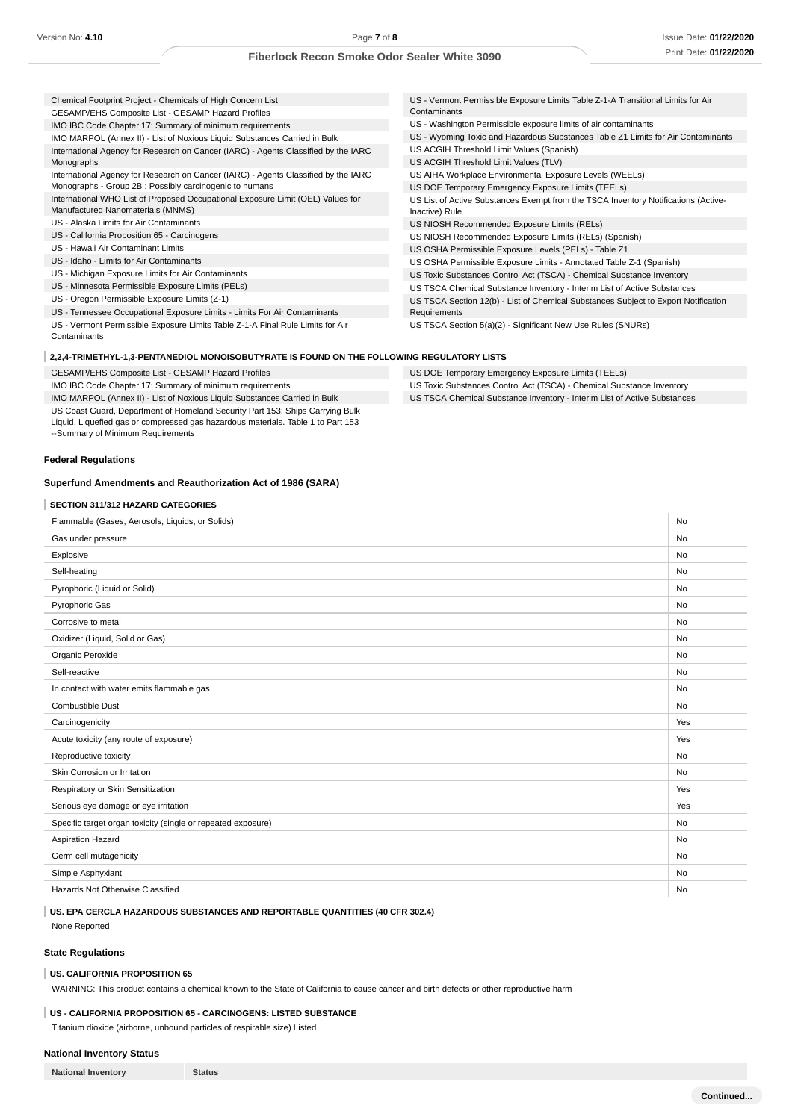| Chemical Footprint Project - Chemicals of High Concern List                        | US - Vermont Permissible Exposure Limits Table Z-1-A Transitional Limits for Air   |
|------------------------------------------------------------------------------------|------------------------------------------------------------------------------------|
| GESAMP/EHS Composite List - GESAMP Hazard Profiles                                 | Contaminants                                                                       |
| IMO IBC Code Chapter 17: Summary of minimum requirements                           | US - Washington Permissible exposure limits of air contaminants                    |
| IMO MARPOL (Annex II) - List of Noxious Liquid Substances Carried in Bulk          | US - Wyoming Toxic and Hazardous Substances Table Z1 Limits for Air Contaminants   |
| International Agency for Research on Cancer (IARC) - Agents Classified by the IARC | US ACGIH Threshold Limit Values (Spanish)                                          |
| Monographs                                                                         | US ACGIH Threshold Limit Values (TLV)                                              |
| International Agency for Research on Cancer (IARC) - Agents Classified by the IARC | US AIHA Workplace Environmental Exposure Levels (WEELs)                            |
| Monographs - Group 2B : Possibly carcinogenic to humans                            | US DOE Temporary Emergency Exposure Limits (TEELs)                                 |
| International WHO List of Proposed Occupational Exposure Limit (OEL) Values for    | US List of Active Substances Exempt from the TSCA Inventory Notifications (Active- |
| Manufactured Nanomaterials (MNMS)                                                  | Inactive) Rule                                                                     |
| US - Alaska Limits for Air Contaminants                                            | US NIOSH Recommended Exposure Limits (RELs)                                        |
| US - California Proposition 65 - Carcinogens                                       | US NIOSH Recommended Exposure Limits (RELs) (Spanish)                              |
| US - Hawaii Air Contaminant Limits                                                 | US OSHA Permissible Exposure Levels (PELs) - Table Z1                              |
| US - Idaho - Limits for Air Contaminants                                           | US OSHA Permissible Exposure Limits - Annotated Table Z-1 (Spanish)                |
| US - Michigan Exposure Limits for Air Contaminants                                 | US Toxic Substances Control Act (TSCA) - Chemical Substance Inventory              |
| US - Minnesota Permissible Exposure Limits (PELs)                                  | US TSCA Chemical Substance Inventory - Interim List of Active Substances           |
| US - Oregon Permissible Exposure Limits (Z-1)                                      | US TSCA Section 12(b) - List of Chemical Substances Subject to Export Notification |
| US - Tennessee Occupational Exposure Limits - Limits For Air Contaminants          | Requirements                                                                       |
| US - Vermont Permissible Exposure Limits Table Z-1-A Final Rule Limits for Air     | US TSCA Section 5(a)(2) - Significant New Use Rules (SNURs)                        |
| Contaminants                                                                       |                                                                                    |
|                                                                                    |                                                                                    |

US DOE Temporary Emergency Exposure Limits (TEELs)

US Toxic Substances Control Act (TSCA) - Chemical Substance Inventory US TSCA Chemical Substance Inventory - Interim List of Active Substances

#### **2,2,4-TRIMETHYL-1,3-PENTANEDIOL MONOISOBUTYRATE IS FOUND ON THE FOLLOWING REGULATORY LISTS**

GESAMP/EHS Composite List - GESAMP Hazard Profiles

IMO IBC Code Chapter 17: Summary of minimum requirements

IMO MARPOL (Annex II) - List of Noxious Liquid Substances Carried in Bulk

US Coast Guard, Department of Homeland Security Part 153: Ships Carrying Bulk

Liquid, Liquefied gas or compressed gas hazardous materials. Table 1 to Part 153 --Summary of Minimum Requirements

# **Federal Regulations**

#### **Superfund Amendments and Reauthorization Act of 1986 (SARA)**

#### **SECTION 311/312 HAZARD CATEGORIES**

| Flammable (Gases, Aerosols, Liquids, or Solids)              | <b>No</b> |
|--------------------------------------------------------------|-----------|
| Gas under pressure                                           | <b>No</b> |
| Explosive                                                    | No        |
| Self-heating                                                 | No        |
| Pyrophoric (Liquid or Solid)                                 | No        |
| Pyrophoric Gas                                               | No        |
| Corrosive to metal                                           | No        |
| Oxidizer (Liquid, Solid or Gas)                              | No        |
| Organic Peroxide                                             | <b>No</b> |
| Self-reactive                                                | No        |
| In contact with water emits flammable gas                    | No        |
| Combustible Dust                                             | <b>No</b> |
| Carcinogenicity                                              | Yes       |
| Acute toxicity (any route of exposure)                       | Yes       |
| Reproductive toxicity                                        | No        |
| Skin Corrosion or Irritation                                 | <b>No</b> |
| Respiratory or Skin Sensitization                            | Yes       |
| Serious eye damage or eye irritation                         | Yes       |
| Specific target organ toxicity (single or repeated exposure) | No        |
| Aspiration Hazard                                            | No        |
| Germ cell mutagenicity                                       | No        |
| Simple Asphyxiant                                            | No        |
| Hazards Not Otherwise Classified                             | No        |
|                                                              |           |

# **US. EPA CERCLA HAZARDOUS SUBSTANCES AND REPORTABLE QUANTITIES (40 CFR 302.4)**

None Reported

# **State Regulations**

#### **US. CALIFORNIA PROPOSITION 65**

WARNING: This product contains a chemical known to the State of California to cause cancer and birth defects or other reproductive harm

# **US - CALIFORNIA PROPOSITION 65 - CARCINOGENS: LISTED SUBSTANCE**

Titanium dioxide (airborne, unbound particles of respirable size) Listed

# **National Inventory Status**

**National Inventory Status**